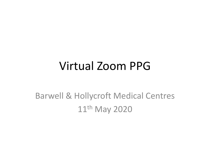#### Virtual Zoom PPG

#### Barwell & Hollycroft Medical Centres 11<sup>th</sup> May 2020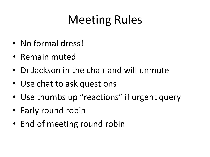# Meeting Rules

- No formal dress!
- Remain muted
- Dr Jackson in the chair and will unmute
- Use chat to ask questions
- Use thumbs up "reactions" if urgent query
- Early round robin
- End of meeting round robin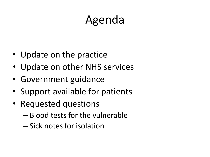# Agenda

- Update on the practice
- Update on other NHS services
- Government guidance
- Support available for patients
- Requested questions
	- Blood tests for the vulnerable
	- Sick notes for isolation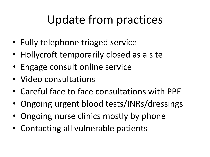## Update from practices

- Fully telephone triaged service
- Hollycroft temporarily closed as a site
- Engage consult online service
- Video consultations
- Careful face to face consultations with PPE
- Ongoing urgent blood tests/INRs/dressings
- Ongoing nurse clinics mostly by phone
- Contacting all vulnerable patients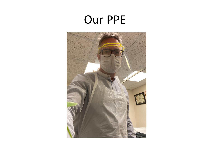### Our PPE

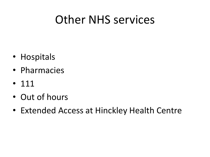### Other NHS services

- Hospitals
- Pharmacies
- 111
- Out of hours
- Extended Access at Hinckley Health Centre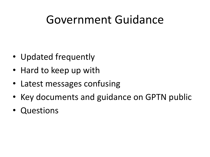### Government Guidance

- Updated frequently
- Hard to keep up with
- Latest messages confusing
- Key documents and guidance on GPTN public
- Questions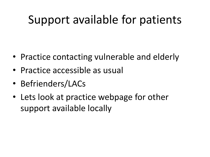### Support available for patients

- Practice contacting vulnerable and elderly
- Practice accessible as usual
- Befrienders/LACs
- Lets look at practice webpage for other support available locally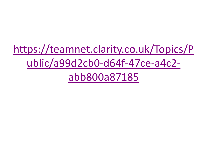[https://teamnet.clarity.co.uk/Topics/P](https://teamnet.clarity.co.uk/Topics/Public/a99d2cb0-d64f-47ce-a4c2-abb800a87185) ublic/a99d2cb0-d64f-47ce-a4c2 abb800a87185